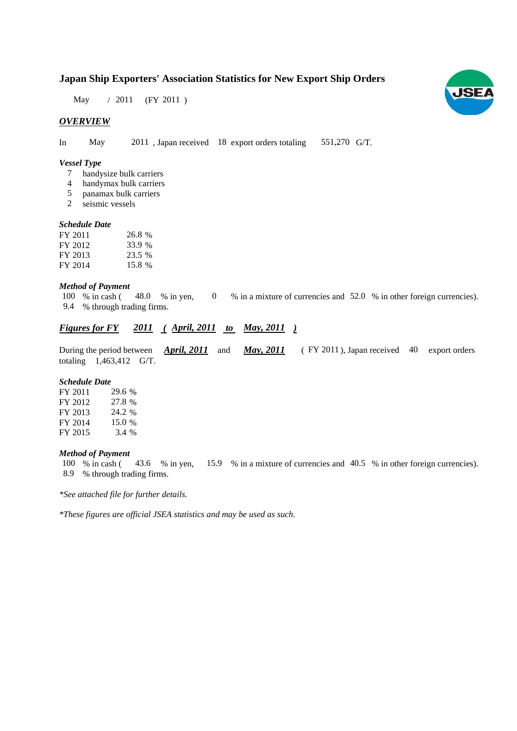# **Japan Ship Exporters' Association Statistics for New Export Ship Orders**

May / 2011 (FY 2011)

## *OVERVIEW*

In May 2011, Japan received 18 export orders totaling 551,270 G/T. 551,270 G/T.

#### *Vessel Type*

- handysize bulk carriers 7
- handymax bulk carriers 4
- panamax bulk carriers 5
- seismic vessels 2

#### *Schedule Date Schedule*

| FY 2011 | 26.8 % |
|---------|--------|
| FY 2012 | 33.9 % |
| FY 2013 | 23.5 % |
| FY 2014 | 15.8 % |

### *Method of Payment*

% in cash (48.0 % in yen, 0 % in a mixture of currencies and 52.0 % in other foreign currencies). % through trading firms. 9.4 % through trading 9. 100 % in cash (48.0 % in yen, 0

## *Figures for FY* 2011 (April, 2011 to May, 2011)

During the period between *April, 2011* and *May, 2011* (FY 2011), Japan received 40 export orders totaling  $1,463,412$  G/T.

#### *Schedule Date*

| FY 2011 | 29.6 % |
|---------|--------|
| FY 2012 | 27.8 % |
| FY 2013 | 24.2 % |
| FY 2014 | 15.0 % |
| FY 2015 | 3.4 %  |

#### *Method of Payment*

% in cash ( $\frac{43.6}{8}$  in yen,  $\frac{15.9}{8}$  in a mixture of currencies and 40.5 % in other foreign currencies). % through trading firms 8 9 % through trading firms. 8.9100 % in cash (43.6 % in yen,

*\*See attached file for further details.*

*\*These figures are official JSEA statistics and may be used as such.*

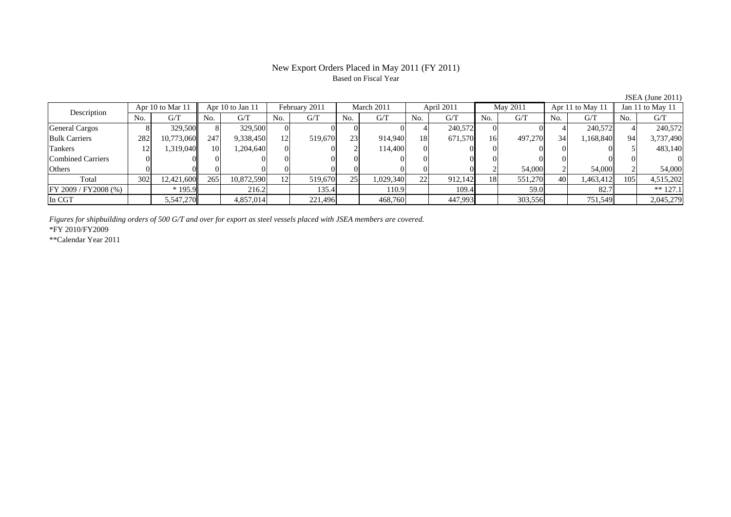## New Export Orders Placed in May 2011 (FY 2011) Based on Fiscal Year

| Description              |     | Apr 10 to Mar 11 |                 | Apr 10 to Jan 11 |                 | February 2011 |     | March 2011 |           | April 2011 |     | May 2011 |     | Apr 11 to May 11 |     | Jan 11 to May 11 |
|--------------------------|-----|------------------|-----------------|------------------|-----------------|---------------|-----|------------|-----------|------------|-----|----------|-----|------------------|-----|------------------|
|                          | No. | G/T              | No.             | G/T              | No.             | G/T           | No. | G/T        | No.       | G/T        | No. | G/T      | No. | G/T              | No. | G/T              |
| <b>General Cargos</b>    |     | 329,500          |                 | 329,500          |                 |               |     |            |           | 240,572    |     |          |     | 240.572L         |     | 240,572          |
| <b>Bulk Carriers</b>     | 282 | 10,773,060       | 247             | 9,338,450        | 12 <sup>1</sup> | 519,670       | 23  | 914,940    | <b>18</b> | 671,570    | 16  | 497,270  | 34  | 1,168,840        | 94  | 3,737,490        |
| Tankers                  | 12  | 1.319.040        | 10 <sup>1</sup> | 1,204,640        |                 |               |     | 114,400    |           |            |     |          |     |                  |     | 483,140          |
| <b>Combined Carriers</b> |     |                  |                 |                  |                 |               |     |            |           |            |     |          |     |                  |     |                  |
| Others                   |     |                  |                 |                  |                 |               |     |            |           |            |     | 54,000   |     | 54,000           |     | 54,000           |
| Total                    | 302 | 12,421,600       | 265             | 10,872,590       |                 | 519,670       | 25  | 1,029,340  | 22        | 912,142    | 18  | 551,270  | 40  | 1,463,412        | 105 | 4,515,202        |
| FY 2009 / FY 2008 (%)    |     | $*195.9$         |                 | 216.2            |                 | 135.4         |     | 110.9      |           | 109.4      |     | 59.0     |     | 82.7             |     | $** 127.1$       |
| In CGT                   |     | 5,547,270        |                 | 4,857,014        |                 | 221,496       |     | 468,760    |           | 447,993    |     | 303,556  |     | 751,549          |     | 2,045,279        |

*Figures for shipbuilding orders of 500 G/T and over for export as steel vessels placed with JSEA members are covered.*

\*FY 2010/FY2009

\*\*Calendar Year 2011

JSEA (June 2011)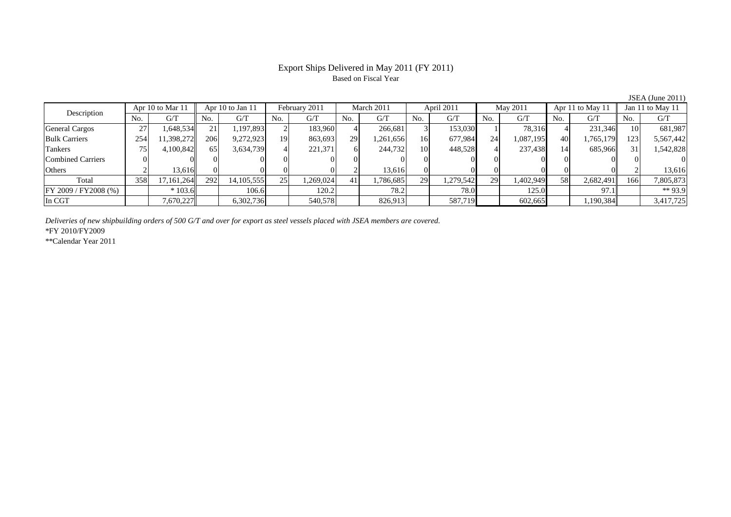## Export Ships Delivered in May 2011 (FY 2011) Based on Fiscal Year

No. G/T No. G/T No. G/T No. G/T No. G/T No. G/T No. G/T No. G/T $G/T$ General Cargos ( 27 1,648,534 21 1,197,893 2 183,960 4 266,681 3 153,030 1 78,316 4 231,346 10 681,987 Bulk Carriers 254 11,398,272 206 9,272,923 19 863,693 29 1,261,656 16 677,984 24 1,087,195 40 1,765,179 123 5,567,442 Tankers | 75 | 4,100,842 || 65 | 3,634,739 | 4| 221,371 | 6| 244,732 | 10 | 448,528 | 4 | 237,438 | 14 | 685,966 || 31 | 1,542,828 Combined Carriers 0 0 0 0 0 0 0 0 0 0 0 0 0 0 0 0Others 2 13,616 0 0 0 0 2 13,616 0 0 0 0 0 0 2 13,616 Total 358 17,161,264 292 14,105,555 25 1,269,024 41 1,786,685 29 1,279,542 29 1,402,949 58 2,682,491 166 7,805,873 FY 2009 / FY2008 (%) \* 103.6 106.6 120.2 78.2 78.0 125.0 97.1 \*\* 93.9 In CGT | | 7,670,227 || | 6,302,736 | | 540,578 | | 826,913 | | 587,719 | | 602,665 | | 1,190,384 | | 3,417,725 Description Apr 10 to Mar 11 Apr 10 to Jan 11 February 2011 March 2011 April 2011 May 2011 Apr 11 to May 11 Jan 11 to May 11

*Deliveries of new shipbuilding orders of 500 G/T and over for export as steel vessels placed with JSEA members are covered.*

\*FY 2010/FY2009

\*\*Calendar Year 2011

JSEA (June 2011)